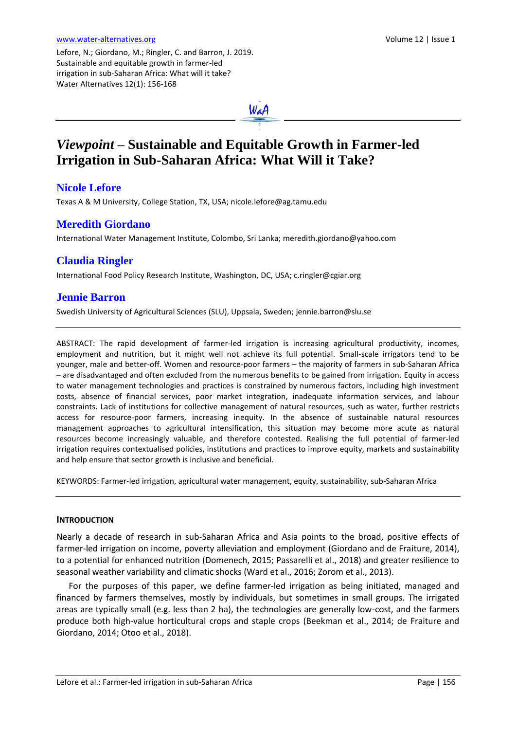Lefore, N.; Giordano, M.; Ringler, C. and Barron, J. 2019. Sustainable and equitable growth in farmer-led irrigation in sub-Saharan Africa: What will it take? Water Alternatives 12(1): 156-168



# *Viewpoint* **– Sustainable and Equitable Growth in Farmer-led Irrigation in Sub-Saharan Africa: What Will it Take?**

## **Nicole Lefore**

Texas A & M University, College Station, TX, USA; nicole.lefore@ag.tamu.edu

## **Meredith Giordano**

International Water Management Institute, Colombo, Sri Lanka[; meredith.giordano@yahoo.com](mailto:meredith.giordano@yahoo.com)

# **Claudia Ringler**

International Food Policy Research Institute, Washington, DC, USA; [c.ringler@cgiar.org](mailto:c.ringler@cgiar.org)

## **Jennie Barron**

Swedish University of Agricultural Sciences (SLU), Uppsala, Sweden[; jennie.barron@slu.se](mailto:jennie.barron@slu.se)

ABSTRACT: The rapid development of farmer-led irrigation is increasing agricultural productivity, incomes, employment and nutrition, but it might well not achieve its full potential. Small-scale irrigators tend to be younger, male and better-off. Women and resource-poor farmers – the majority of farmers in sub-Saharan Africa – are disadvantaged and often excluded from the numerous benefits to be gained from irrigation. Equity in access to water management technologies and practices is constrained by numerous factors, including high investment costs, absence of financial services, poor market integration, inadequate information services, and labour constraints. Lack of institutions for collective management of natural resources, such as water, further restricts access for resource-poor farmers, increasing inequity. In the absence of sustainable natural resources management approaches to agricultural intensification, this situation may become more acute as natural resources become increasingly valuable, and therefore contested. Realising the full potential of farmer-led irrigation requires contextualised policies, institutions and practices to improve equity, markets and sustainability and help ensure that sector growth is inclusive and beneficial.

KEYWORDS: Farmer-led irrigation, agricultural water management, equity, sustainability, sub-Saharan Africa

## **INTRODUCTION**

Nearly a decade of research in sub-Saharan Africa and Asia points to the broad, positive effects of farmer-led irrigation on income, poverty alleviation and employment (Giordano and de Fraiture, 2014), to a potential for enhanced nutrition (Domenech, 2015; Passarelli et al., 2018) and greater resilience to seasonal weather variability and climatic shocks (Ward et al., 2016; Zorom et al., 2013).

For the purposes of this paper, we define farmer-led irrigation as being initiated, managed and financed by farmers themselves, mostly by individuals, but sometimes in small groups. The irrigated areas are typically small (e.g. less than 2 ha), the technologies are generally low-cost, and the farmers produce both high-value horticultural crops and staple crops (Beekman et al., 2014; de Fraiture and Giordano, 2014; Otoo et al., 2018).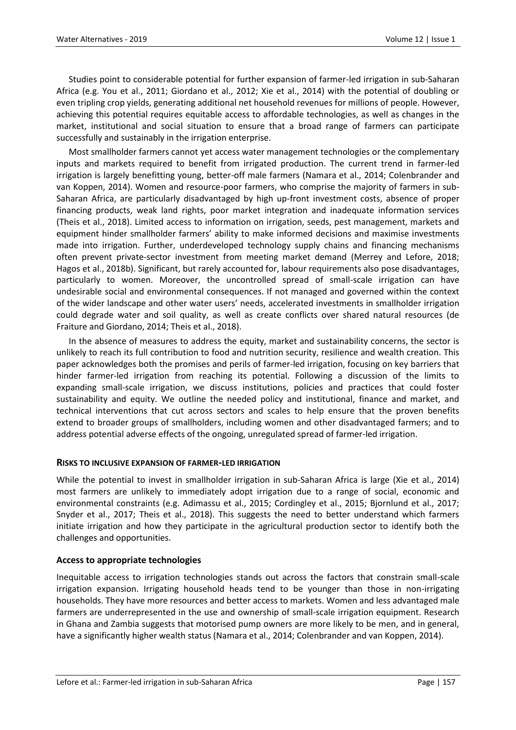Studies point to considerable potential for further expansion of farmer-led irrigation in sub-Saharan Africa (e.g. You et al., 2011; Giordano et al., 2012; Xie et al., 2014) with the potential of doubling or even tripling crop yields, generating additional net household revenues for millions of people. However, achieving this potential requires equitable access to affordable technologies, as well as changes in the market, institutional and social situation to ensure that a broad range of farmers can participate successfully and sustainably in the irrigation enterprise.

Most smallholder farmers cannot yet access water management technologies or the complementary inputs and markets required to benefit from irrigated production. The current trend in farmer-led irrigation is largely benefitting young, better-off male farmers (Namara et al., 2014; Colenbrander and van Koppen, 2014). Women and resource-poor farmers, who comprise the majority of farmers in sub-Saharan Africa, are particularly disadvantaged by high up-front investment costs, absence of proper financing products, weak land rights, poor market integration and inadequate information services (Theis et al., 2018). Limited access to information on irrigation, seeds, pest management, markets and equipment hinder smallholder farmers' ability to make informed decisions and maximise investments made into irrigation. Further, underdeveloped technology supply chains and financing mechanisms often prevent private-sector investment from meeting market demand (Merrey and Lefore, 2018; Hagos et al., 2018b). Significant, but rarely accounted for, labour requirements also pose disadvantages, particularly to women. Moreover, the uncontrolled spread of small-scale irrigation can have undesirable social and environmental consequences. If not managed and governed within the context of the wider landscape and other water users' needs, accelerated investments in smallholder irrigation could degrade water and soil quality, as well as create conflicts over shared natural resources (de Fraiture and Giordano, 2014; Theis et al., 2018).

In the absence of measures to address the equity, market and sustainability concerns, the sector is unlikely to reach its full contribution to food and nutrition security, resilience and wealth creation. This paper acknowledges both the promises and perils of farmer-led irrigation, focusing on key barriers that hinder farmer-led irrigation from reaching its potential. Following a discussion of the limits to expanding small-scale irrigation, we discuss institutions, policies and practices that could foster sustainability and equity. We outline the needed policy and institutional, finance and market, and technical interventions that cut across sectors and scales to help ensure that the proven benefits extend to broader groups of smallholders, including women and other disadvantaged farmers; and to address potential adverse effects of the ongoing, unregulated spread of farmer-led irrigation.

#### **RISKS TO INCLUSIVE EXPANSION OF FARMER-LED IRRIGATION**

While the potential to invest in smallholder irrigation in sub-Saharan Africa is large (Xie et al., 2014) most farmers are unlikely to immediately adopt irrigation due to a range of social, economic and environmental constraints (e.g. Adimassu et al., 2015; Cordingley et al., 2015; Bjornlund et al., 2017; Snyder et al., 2017; Theis et al., 2018). This suggests the need to better understand which farmers initiate irrigation and how they participate in the agricultural production sector to identify both the challenges and opportunities.

#### **Access to appropriate technologies**

Inequitable access to irrigation technologies stands out across the factors that constrain small-scale irrigation expansion. Irrigating household heads tend to be younger than those in non-irrigating households. They have more resources and better access to markets. Women and less advantaged male farmers are underrepresented in the use and ownership of small-scale irrigation equipment. Research in Ghana and Zambia suggests that motorised pump owners are more likely to be men, and in general, have a significantly higher wealth status (Namara et al., 2014; Colenbrander and van Koppen, 2014).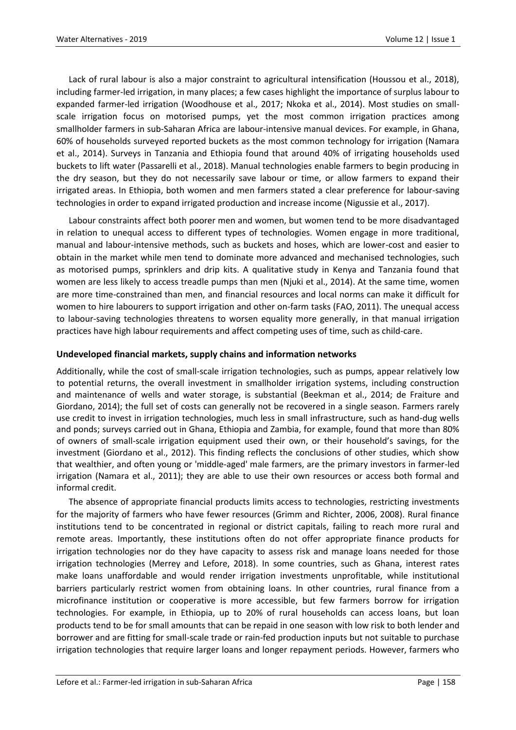Lack of rural labour is also a major constraint to agricultural intensification (Houssou et al., 2018), including farmer-led irrigation, in many places; a few cases highlight the importance of surplus labour to expanded farmer-led irrigation (Woodhouse et al., 2017; Nkoka et al., 2014). Most studies on smallscale irrigation focus on motorised pumps, yet the most common irrigation practices among smallholder farmers in sub-Saharan Africa are labour-intensive manual devices. For example, in Ghana, 60% of households surveyed reported buckets as the most common technology for irrigation (Namara et al., 2014). Surveys in Tanzania and Ethiopia found that around 40% of irrigating households used buckets to lift water (Passarelli et al., 2018). Manual technologies enable farmers to begin producing in the dry season, but they do not necessarily save labour or time, or allow farmers to expand their irrigated areas. In Ethiopia, both women and men farmers stated a clear preference for labour-saving technologies in order to expand irrigated production and increase income (Nigussie et al., 2017).

Labour constraints affect both poorer men and women, but women tend to be more disadvantaged in relation to unequal access to different types of technologies. Women engage in more traditional, manual and labour-intensive methods, such as buckets and hoses, which are lower-cost and easier to obtain in the market while men tend to dominate more advanced and mechanised technologies, such as motorised pumps, sprinklers and drip kits. A qualitative study in Kenya and Tanzania found that women are less likely to access treadle pumps than men (Njuki et al., 2014). At the same time, women are more time-constrained than men, and financial resources and local norms can make it difficult for women to hire labourers to support irrigation and other on-farm tasks (FAO, 2011). The unequal access to labour-saving technologies threatens to worsen equality more generally, in that manual irrigation practices have high labour requirements and affect competing uses of time, such as child-care.

#### **Undeveloped financial markets, supply chains and information networks**

Additionally, while the cost of small-scale irrigation technologies, such as pumps, appear relatively low to potential returns, the overall investment in smallholder irrigation systems, including construction and maintenance of wells and water storage, is substantial (Beekman et al., 2014; de Fraiture and Giordano, 2014); the full set of costs can generally not be recovered in a single season. Farmers rarely use credit to invest in irrigation technologies, much less in small infrastructure, such as hand-dug wells and ponds; surveys carried out in Ghana, Ethiopia and Zambia, for example, found that more than 80% of owners of small-scale irrigation equipment used their own, or their household's savings, for the investment (Giordano et al., 2012). This finding reflects the conclusions of other studies, which show that wealthier, and often young or 'middle-aged' male farmers, are the primary investors in farmer-led irrigation (Namara et al., 2011); they are able to use their own resources or access both formal and informal credit.

The absence of appropriate financial products limits access to technologies, restricting investments for the majority of farmers who have fewer resources (Grimm and Richter, 2006, 2008). Rural finance institutions tend to be concentrated in regional or district capitals, failing to reach more rural and remote areas. Importantly, these institutions often do not offer appropriate finance products for irrigation technologies nor do they have capacity to assess risk and manage loans needed for those irrigation technologies (Merrey and Lefore, 2018). In some countries, such as Ghana, interest rates make loans unaffordable and would render irrigation investments unprofitable, while institutional barriers particularly restrict women from obtaining loans. In other countries, rural finance from a microfinance institution or cooperative is more accessible, but few farmers borrow for irrigation technologies. For example, in Ethiopia, up to 20% of rural households can access loans, but loan products tend to be for small amounts that can be repaid in one season with low risk to both lender and borrower and are fitting for small-scale trade or rain-fed production inputs but not suitable to purchase irrigation technologies that require larger loans and longer repayment periods. However, farmers who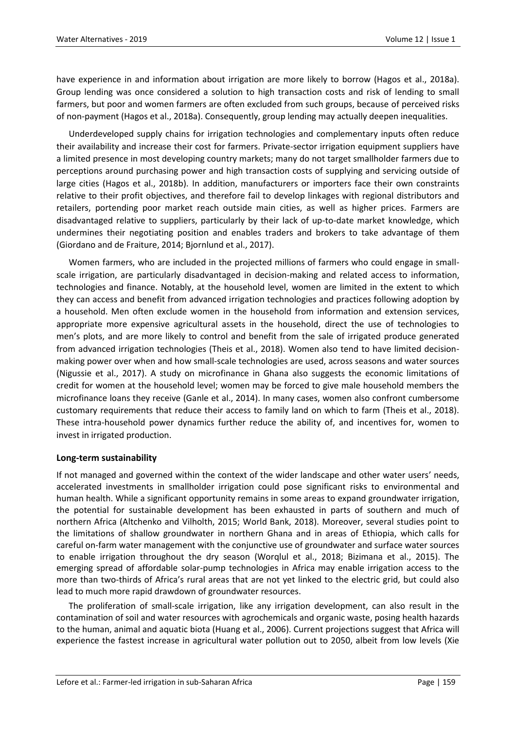have experience in and information about irrigation are more likely to borrow (Hagos et al., 2018a). Group lending was once considered a solution to high transaction costs and risk of lending to small farmers, but poor and women farmers are often excluded from such groups, because of perceived risks of non-payment (Hagos et al., 2018a). Consequently, group lending may actually deepen inequalities.

Underdeveloped supply chains for irrigation technologies and complementary inputs often reduce their availability and increase their cost for farmers. Private-sector irrigation equipment suppliers have a limited presence in most developing country markets; many do not target smallholder farmers due to perceptions around purchasing power and high transaction costs of supplying and servicing outside of large cities (Hagos et al., 2018b). In addition, manufacturers or importers face their own constraints relative to their profit objectives, and therefore fail to develop linkages with regional distributors and retailers, portending poor market reach outside main cities, as well as higher prices. Farmers are disadvantaged relative to suppliers, particularly by their lack of up-to-date market knowledge, which undermines their negotiating position and enables traders and brokers to take advantage of them (Giordano and de Fraiture, 2014; Bjornlund et al., 2017).

Women farmers, who are included in the projected millions of farmers who could engage in smallscale irrigation, are particularly disadvantaged in decision-making and related access to information, technologies and finance. Notably, at the household level, women are limited in the extent to which they can access and benefit from advanced irrigation technologies and practices following adoption by a household. Men often exclude women in the household from information and extension services, appropriate more expensive agricultural assets in the household, direct the use of technologies to men's plots, and are more likely to control and benefit from the sale of irrigated produce generated from advanced irrigation technologies (Theis et al., 2018). Women also tend to have limited decisionmaking power over when and how small-scale technologies are used, across seasons and water sources (Nigussie et al., 2017). A study on microfinance in Ghana also suggests the economic limitations of credit for women at the household level; women may be forced to give male household members the microfinance loans they receive (Ganle et al., 2014). In many cases, women also confront cumbersome customary requirements that reduce their access to family land on which to farm (Theis et al., 2018). These intra-household power dynamics further reduce the ability of, and incentives for, women to invest in irrigated production.

#### **Long-term sustainability**

If not managed and governed within the context of the wider landscape and other water users' needs, accelerated investments in smallholder irrigation could pose significant risks to environmental and human health. While a significant opportunity remains in some areas to expand groundwater irrigation, the potential for sustainable development has been exhausted in parts of southern and much of northern Africa (Altchenko and Vilholth, 2015; World Bank, 2018). Moreover, several studies point to the limitations of shallow groundwater in northern Ghana and in areas of Ethiopia, which calls for careful on-farm water management with the conjunctive use of groundwater and surface water sources to enable irrigation throughout the dry season (Worqlul et al., 2018; Bizimana et al., 2015). The emerging spread of affordable solar-pump technologies in Africa may enable irrigation access to the more than two-thirds of Africa's rural areas that are not yet linked to the electric grid, but could also lead to much more rapid drawdown of groundwater resources.

The proliferation of small-scale irrigation, like any irrigation development, can also result in the contamination of soil and water resources with agrochemicals and organic waste, posing health hazards to the human, animal and aquatic biota (Huang et al., 2006). Current projections suggest that Africa will experience the fastest increase in agricultural water pollution out to 2050, albeit from low levels (Xie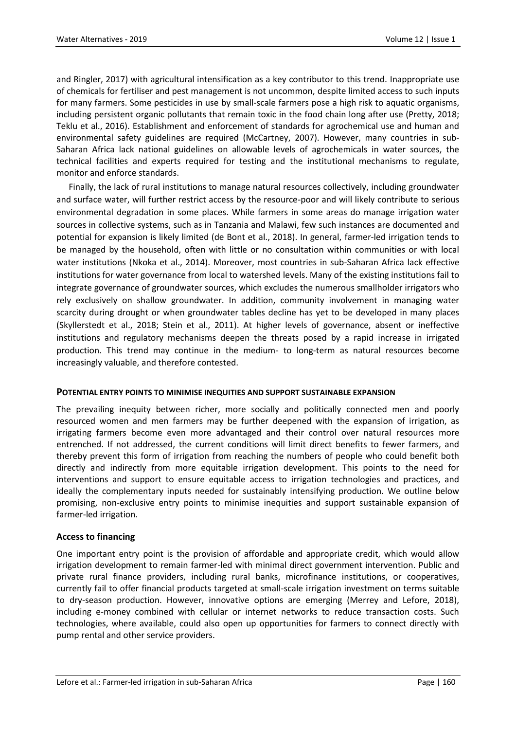and Ringler, 2017) with agricultural intensification as a key contributor to this trend. Inappropriate use of chemicals for fertiliser and pest management is not uncommon, despite limited access to such inputs for many farmers. Some pesticides in use by small-scale farmers pose a high risk to aquatic organisms, including persistent organic pollutants that remain toxic in the food chain long after use (Pretty, 2018; Teklu et al., 2016). Establishment and enforcement of standards for agrochemical use and human and environmental safety guidelines are required (McCartney, 2007). However, many countries in sub-Saharan Africa lack national guidelines on allowable levels of agrochemicals in water sources, the technical facilities and experts required for testing and the institutional mechanisms to regulate, monitor and enforce standards.

Finally, the lack of rural institutions to manage natural resources collectively, including groundwater and surface water, will further restrict access by the resource-poor and will likely contribute to serious environmental degradation in some places. While farmers in some areas do manage irrigation water sources in collective systems, such as in Tanzania and Malawi, few such instances are documented and potential for expansion is likely limited (de Bont et al., 2018). In general, farmer-led irrigation tends to be managed by the household, often with little or no consultation within communities or with local water institutions (Nkoka et al., 2014). Moreover, most countries in sub-Saharan Africa lack effective institutions for water governance from local to watershed levels. Many of the existing institutions fail to integrate governance of groundwater sources, which excludes the numerous smallholder irrigators who rely exclusively on shallow groundwater. In addition, community involvement in managing water scarcity during drought or when groundwater tables decline has yet to be developed in many places (Skyllerstedt et al., 2018; Stein et al., 2011). At higher levels of governance, absent or ineffective institutions and regulatory mechanisms deepen the threats posed by a rapid increase in irrigated production. This trend may continue in the medium- to long-term as natural resources become increasingly valuable, and therefore contested.

#### **POTENTIAL ENTRY POINTS TO MINIMISE INEQUITIES AND SUPPORT SUSTAINABLE EXPANSION**

The prevailing inequity between richer, more socially and politically connected men and poorly resourced women and men farmers may be further deepened with the expansion of irrigation, as irrigating farmers become even more advantaged and their control over natural resources more entrenched. If not addressed, the current conditions will limit direct benefits to fewer farmers, and thereby prevent this form of irrigation from reaching the numbers of people who could benefit both directly and indirectly from more equitable irrigation development. This points to the need for interventions and support to ensure equitable access to irrigation technologies and practices, and ideally the complementary inputs needed for sustainably intensifying production. We outline below promising, non-exclusive entry points to minimise inequities and support sustainable expansion of farmer-led irrigation.

#### **Access to financing**

One important entry point is the provision of affordable and appropriate credit, which would allow irrigation development to remain farmer-led with minimal direct government intervention. Public and private rural finance providers, including rural banks, microfinance institutions, or cooperatives, currently fail to offer financial products targeted at small-scale irrigation investment on terms suitable to dry-season production. However, innovative options are emerging (Merrey and Lefore, 2018), including e-money combined with cellular or internet networks to reduce transaction costs. Such technologies, where available, could also open up opportunities for farmers to connect directly with pump rental and other service providers.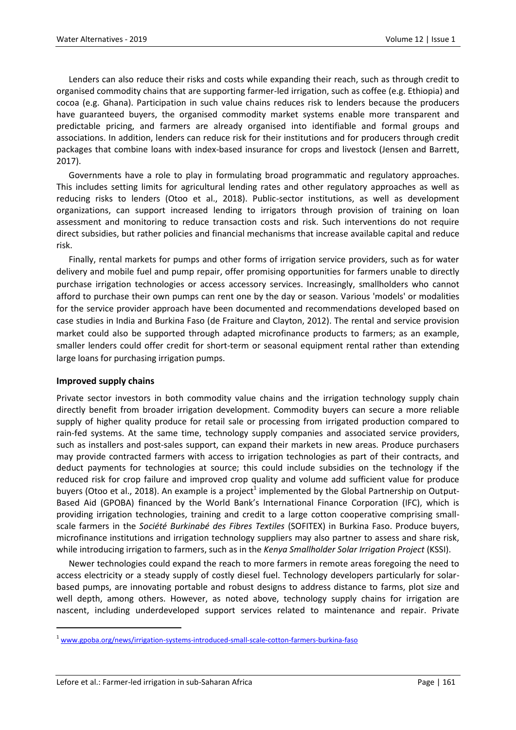Lenders can also reduce their risks and costs while expanding their reach, such as through credit to organised commodity chains that are supporting farmer-led irrigation, such as coffee (e.g. Ethiopia) and cocoa (e.g. Ghana). Participation in such value chains reduces risk to lenders because the producers have guaranteed buyers, the organised commodity market systems enable more transparent and predictable pricing, and farmers are already organised into identifiable and formal groups and associations. In addition, lenders can reduce risk for their institutions and for producers through credit packages that combine loans with index-based insurance for crops and livestock (Jensen and Barrett, 2017).

Governments have a role to play in formulating broad programmatic and regulatory approaches. This includes setting limits for agricultural lending rates and other regulatory approaches as well as reducing risks to lenders (Otoo et al., 2018). Public-sector institutions, as well as development organizations, can support increased lending to irrigators through provision of training on loan assessment and monitoring to reduce transaction costs and risk. Such interventions do not require direct subsidies, but rather policies and financial mechanisms that increase available capital and reduce risk.

Finally, rental markets for pumps and other forms of irrigation service providers, such as for water delivery and mobile fuel and pump repair, offer promising opportunities for farmers unable to directly purchase irrigation technologies or access accessory services. Increasingly, smallholders who cannot afford to purchase their own pumps can rent one by the day or season. Various 'models' or modalities for the service provider approach have been documented and recommendations developed based on case studies in India and Burkina Faso (de Fraiture and Clayton, 2012). The rental and service provision market could also be supported through adapted microfinance products to farmers; as an example, smaller lenders could offer credit for short-term or seasonal equipment rental rather than extending large loans for purchasing irrigation pumps.

#### **Improved supply chains**

 $\overline{a}$ 

Private sector investors in both commodity value chains and the irrigation technology supply chain directly benefit from broader irrigation development. Commodity buyers can secure a more reliable supply of higher quality produce for retail sale or processing from irrigated production compared to rain-fed systems. At the same time, technology supply companies and associated service providers, such as installers and post-sales support, can expand their markets in new areas. Produce purchasers may provide contracted farmers with access to irrigation technologies as part of their contracts, and deduct payments for technologies at source; this could include subsidies on the technology if the reduced risk for crop failure and improved crop quality and volume add sufficient value for produce buyers (Otoo et al., 2018). An example is a project<sup>1</sup> implemented by the Global Partnership on Output-Based Aid (GPOBA) financed by the World Bank's International Finance Corporation (IFC), which is providing irrigation technologies, training and credit to a large cotton cooperative comprising smallscale farmers in the *Société Burkinabé des Fibres Textiles* (SOFITEX) in Burkina Faso. Produce buyers, microfinance institutions and irrigation technology suppliers may also partner to assess and share risk, while introducing irrigation to farmers, such as in the *Kenya Smallholder Solar Irrigation Project* (KSSI).

Newer technologies could expand the reach to more farmers in remote areas foregoing the need to access electricity or a steady supply of costly diesel fuel. Technology developers particularly for solarbased pumps, are innovating portable and robust designs to address distance to farms, plot size and well depth, among others. However, as noted above, technology supply chains for irrigation are nascent, including underdeveloped support services related to maintenance and repair. Private

Lefore et al.: Farmer-led irrigation in sub-Saharan Africa **Page 161** Page | 161

www.gpoba.org/news/irrigation-systems-introduced-small-scale-cotton-farmers-burkina-faso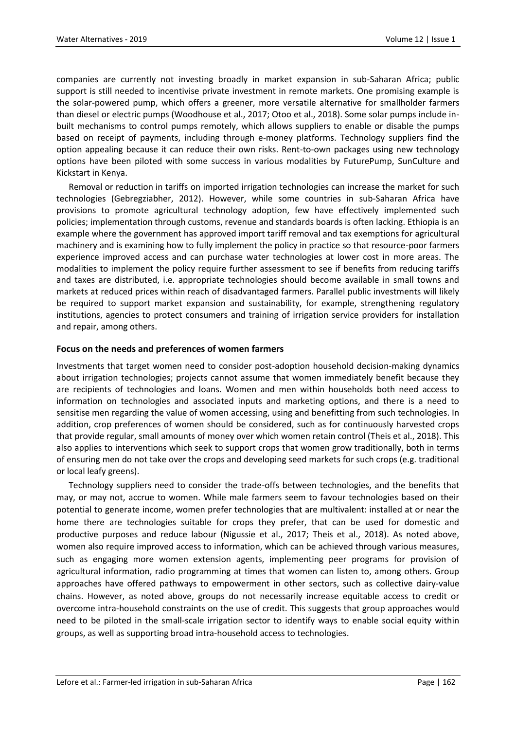companies are currently not investing broadly in market expansion in sub-Saharan Africa; public support is still needed to incentivise private investment in remote markets. One promising example is the solar-powered pump, which offers a greener, more versatile alternative for smallholder farmers than diesel or electric pumps (Woodhouse et al., 2017; Otoo et al., 2018). Some solar pumps include inbuilt mechanisms to control pumps remotely, which allows suppliers to enable or disable the pumps based on receipt of payments, including through e-money platforms. Technology suppliers find the option appealing because it can reduce their own risks. Rent-to-own packages using new technology options have been piloted with some success in various modalities by FuturePump, SunCulture and Kickstart in Kenya.

Removal or reduction in tariffs on imported irrigation technologies can increase the market for such technologies (Gebregziabher, 2012). However, while some countries in sub-Saharan Africa have provisions to promote agricultural technology adoption, few have effectively implemented such policies; implementation through customs, revenue and standards boards is often lacking. Ethiopia is an example where the government has approved import tariff removal and tax exemptions for agricultural machinery and is examining how to fully implement the policy in practice so that resource-poor farmers experience improved access and can purchase water technologies at lower cost in more areas. The modalities to implement the policy require further assessment to see if benefits from reducing tariffs and taxes are distributed, i.e. appropriate technologies should become available in small towns and markets at reduced prices within reach of disadvantaged farmers. Parallel public investments will likely be required to support market expansion and sustainability, for example, strengthening regulatory institutions, agencies to protect consumers and training of irrigation service providers for installation and repair, among others.

### **Focus on the needs and preferences of women farmers**

Investments that target women need to consider post-adoption household decision-making dynamics about irrigation technologies; projects cannot assume that women immediately benefit because they are recipients of technologies and loans. Women and men within households both need access to information on technologies and associated inputs and marketing options, and there is a need to sensitise men regarding the value of women accessing, using and benefitting from such technologies. In addition, crop preferences of women should be considered, such as for continuously harvested crops that provide regular, small amounts of money over which women retain control (Theis et al., 2018). This also applies to interventions which seek to support crops that women grow traditionally, both in terms of ensuring men do not take over the crops and developing seed markets for such crops (e.g. traditional or local leafy greens).

Technology suppliers need to consider the trade-offs between technologies, and the benefits that may, or may not, accrue to women. While male farmers seem to favour technologies based on their potential to generate income, women prefer technologies that are multivalent: installed at or near the home there are technologies suitable for crops they prefer, that can be used for domestic and productive purposes and reduce labour (Nigussie et al., 2017; Theis et al., 2018). As noted above, women also require improved access to information, which can be achieved through various measures, such as engaging more women extension agents, implementing peer programs for provision of agricultural information, radio programming at times that women can listen to, among others. Group approaches have offered pathways to empowerment in other sectors, such as collective dairy-value chains. However, as noted above, groups do not necessarily increase equitable access to credit or overcome intra-household constraints on the use of credit. This suggests that group approaches would need to be piloted in the small-scale irrigation sector to identify ways to enable social equity within groups, as well as supporting broad intra-household access to technologies.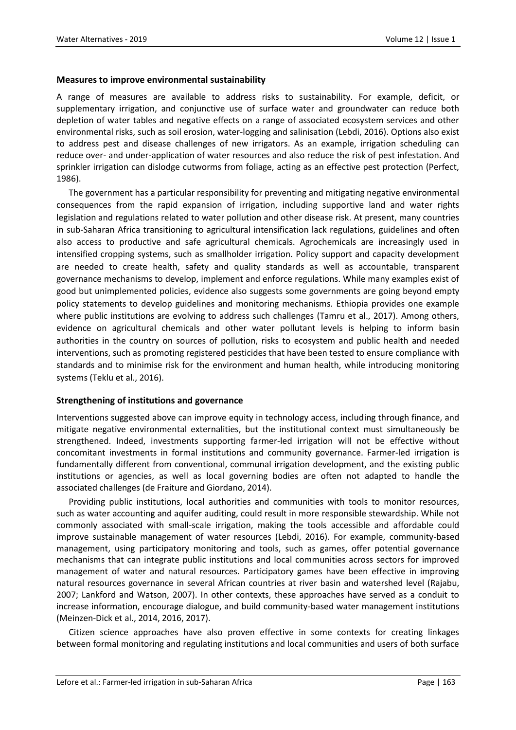#### **Measures to improve environmental sustainability**

A range of measures are available to address risks to sustainability. For example, deficit, or supplementary irrigation, and conjunctive use of surface water and groundwater can reduce both depletion of water tables and negative effects on a range of associated ecosystem services and other environmental risks, such as soil erosion, water-logging and salinisation (Lebdi, 2016). Options also exist to address pest and disease challenges of new irrigators. As an example, irrigation scheduling can reduce over- and under-application of water resources and also reduce the risk of pest infestation. And sprinkler irrigation can dislodge cutworms from foliage, acting as an effective pest protection (Perfect, 1986).

The government has a particular responsibility for preventing and mitigating negative environmental consequences from the rapid expansion of irrigation, including supportive land and water rights legislation and regulations related to water pollution and other disease risk. At present, many countries in sub-Saharan Africa transitioning to agricultural intensification lack regulations, guidelines and often also access to productive and safe agricultural chemicals. Agrochemicals are increasingly used in intensified cropping systems, such as smallholder irrigation. Policy support and capacity development are needed to create health, safety and quality standards as well as accountable, transparent governance mechanisms to develop, implement and enforce regulations. While many examples exist of good but unimplemented policies, evidence also suggests some governments are going beyond empty policy statements to develop guidelines and monitoring mechanisms. Ethiopia provides one example where public institutions are evolving to address such challenges (Tamru et al., 2017). Among others, evidence on agricultural chemicals and other water pollutant levels is helping to inform basin authorities in the country on sources of pollution, risks to ecosystem and public health and needed interventions, such as promoting registered pesticides that have been tested to ensure compliance with standards and to minimise risk for the environment and human health, while introducing monitoring systems (Teklu et al., 2016).

#### **Strengthening of institutions and governance**

Interventions suggested above can improve equity in technology access, including through finance, and mitigate negative environmental externalities, but the institutional context must simultaneously be strengthened. Indeed, investments supporting farmer-led irrigation will not be effective without concomitant investments in formal institutions and community governance. Farmer-led irrigation is fundamentally different from conventional, communal irrigation development, and the existing public institutions or agencies, as well as local governing bodies are often not adapted to handle the associated challenges (de Fraiture and Giordano, 2014).

Providing public institutions, local authorities and communities with tools to monitor resources, such as water accounting and aquifer auditing, could result in more responsible stewardship. While not commonly associated with small-scale irrigation, making the tools accessible and affordable could improve sustainable management of water resources (Lebdi, 2016). For example, community-based management, using participatory monitoring and tools, such as games, offer potential governance mechanisms that can integrate public institutions and local communities across sectors for improved management of water and natural resources. Participatory games have been effective in improving natural resources governance in several African countries at river basin and watershed level (Rajabu, 2007; Lankford and Watson, 2007). In other contexts, these approaches have served as a conduit to increase information, encourage dialogue, and build community-based water management institutions (Meinzen-Dick et al., 2014, 2016, 2017).

Citizen science approaches have also proven effective in some contexts for creating linkages between formal monitoring and regulating institutions and local communities and users of both surface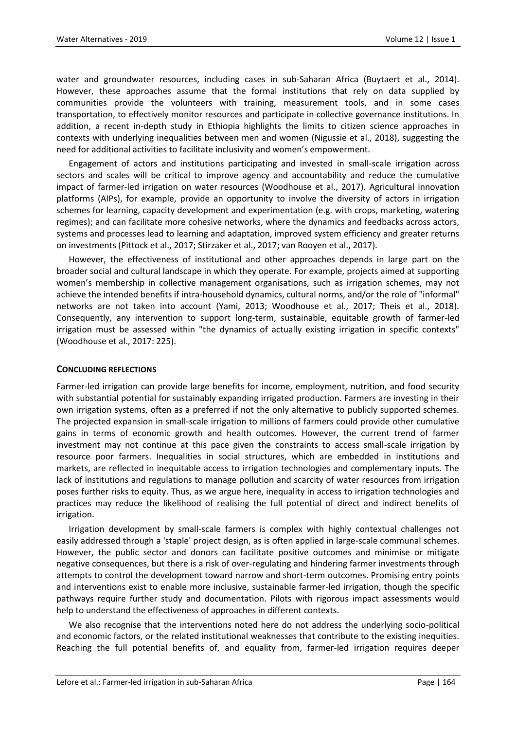water and groundwater resources, including cases in sub-Saharan Africa (Buytaert et al., 2014). However, these approaches assume that the formal institutions that rely on data supplied by communities provide the volunteers with training, measurement tools, and in some cases transportation, to effectively monitor resources and participate in collective governance institutions. In addition, a recent in-depth study in Ethiopia highlights the limits to citizen science approaches in contexts with underlying inequalities between men and women (Nigussie et al., 2018), suggesting the need for additional activities to facilitate inclusivity and women's empowerment.

Engagement of actors and institutions participating and invested in small-scale irrigation across sectors and scales will be critical to improve agency and accountability and reduce the cumulative impact of farmer-led irrigation on water resources (Woodhouse et al., 2017). Agricultural innovation platforms (AIPs), for example, provide an opportunity to involve the diversity of actors in irrigation schemes for learning, capacity development and experimentation (e.g. with crops, marketing, watering regimes); and can facilitate more cohesive networks, where the dynamics and feedbacks across actors, systems and processes lead to learning and adaptation, improved system efficiency and greater returns on investments (Pittock et al., 2017; Stirzaker et al., 2017; van Rooyen et al., 2017).

However, the effectiveness of institutional and other approaches depends in large part on the broader social and cultural landscape in which they operate. For example, projects aimed at supporting women's membership in collective management organisations, such as irrigation schemes, may not achieve the intended benefits if intra-household dynamics, cultural norms, and/or the role of "informal" networks are not taken into account (Yami, 2013; Woodhouse et al., 2017; Theis et al., 2018). Consequently, any intervention to support long-term, sustainable, equitable growth of farmer-led irrigation must be assessed within "the dynamics of actually existing irrigation in specific contexts" (Woodhouse et al., 2017: 225).

#### **CONCLUDING REFLECTIONS**

Farmer-led irrigation can provide large benefits for income, employment, nutrition, and food security with substantial potential for sustainably expanding irrigated production. Farmers are investing in their own irrigation systems, often as a preferred if not the only alternative to publicly supported schemes. The projected expansion in small-scale irrigation to millions of farmers could provide other cumulative gains in terms of economic growth and health outcomes. However, the current trend of farmer investment may not continue at this pace given the constraints to access small-scale irrigation by resource poor farmers. Inequalities in social structures, which are embedded in institutions and markets, are reflected in inequitable access to irrigation technologies and complementary inputs. The lack of institutions and regulations to manage pollution and scarcity of water resources from irrigation poses further risks to equity. Thus, as we argue here, inequality in access to irrigation technologies and practices may reduce the likelihood of realising the full potential of direct and indirect benefits of irrigation.

Irrigation development by small-scale farmers is complex with highly contextual challenges not easily addressed through a 'staple' project design, as is often applied in large-scale communal schemes. However, the public sector and donors can facilitate positive outcomes and minimise or mitigate negative consequences, but there is a risk of over-regulating and hindering farmer investments through attempts to control the development toward narrow and short-term outcomes. Promising entry points and interventions exist to enable more inclusive, sustainable farmer-led irrigation, though the specific pathways require further study and documentation. Pilots with rigorous impact assessments would help to understand the effectiveness of approaches in different contexts.

We also recognise that the interventions noted here do not address the underlying socio-political and economic factors, or the related institutional weaknesses that contribute to the existing inequities. Reaching the full potential benefits of, and equality from, farmer-led irrigation requires deeper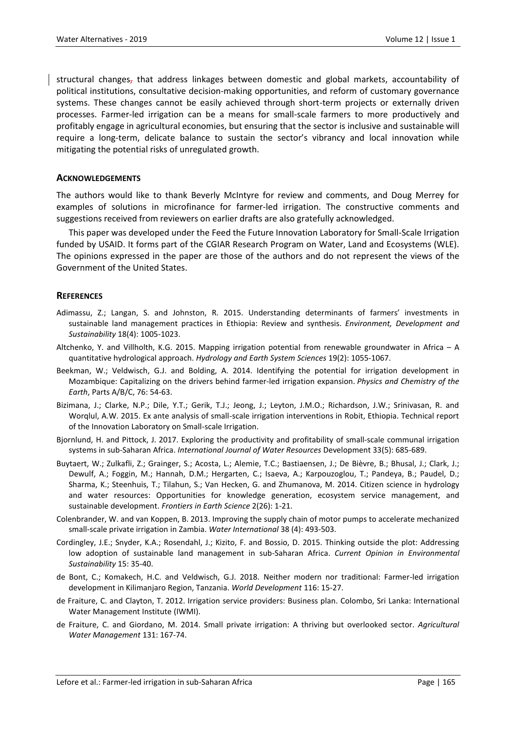structural changes, that address linkages between domestic and global markets, accountability of political institutions, consultative decision-making opportunities, and reform of customary governance systems. These changes cannot be easily achieved through short-term projects or externally driven processes. Farmer-led irrigation can be a means for small-scale farmers to more productively and profitably engage in agricultural economies, but ensuring that the sector is inclusive and sustainable will require a long-term, delicate balance to sustain the sector's vibrancy and local innovation while mitigating the potential risks of unregulated growth.

#### **ACKNOWLEDGEMENTS**

The authors would like to thank Beverly McIntyre for review and comments, and Doug Merrey for examples of solutions in microfinance for farmer-led irrigation. The constructive comments and suggestions received from reviewers on earlier drafts are also gratefully acknowledged.

This paper was developed under the Feed the Future Innovation Laboratory for Small-Scale Irrigation funded by USAID. It forms part of the CGIAR Research Program on Water, Land and Ecosystems (WLE). The opinions expressed in the paper are those of the authors and do not represent the views of the Government of the United States.

#### **REFERENCES**

- Adimassu, Z.; Langan, S. and Johnston, R. 2015. Understanding determinants of farmers' investments in sustainable land management practices in Ethiopia: Review and synthesis. *Environment, Development and Sustainability* 18(4): 1005-1023.
- Altchenko, Y. and Villholth, K.G. 2015. Mapping irrigation potential from renewable groundwater in Africa A quantitative hydrological approach. *Hydrology and Earth System Sciences* 19(2): 1055-1067.
- Beekman, W.; Veldwisch, G.J. and Bolding, A. 2014. Identifying the potential for irrigation development in Mozambique: Capitalizing on the drivers behind farmer-led irrigation expansion. *Physics and Chemistry of the Earth*, Parts A/B/C, 76: 54-63.
- Bizimana, J.; Clarke, N.P.; Dile, Y.T.; Gerik, T.J.; Jeong, J.; Leyton, J.M.O.; Richardson, J.W.; Srinivasan, R. and Worqlul, A.W. 2015. Ex ante analysis of small-scale irrigation interventions in Robit, Ethiopia. Technical report of the Innovation Laboratory on Small-scale Irrigation.
- Bjornlund, H. and Pittock, J. 2017. Exploring the productivity and profitability of small-scale communal irrigation systems in sub-Saharan Africa. *International Journal of Water Resources* Development 33(5): 685-689.
- Buytaert, W.; Zulkafli, Z.; Grainger, S.; Acosta, L.; Alemie, T.C.; Bastiaensen, J.; De Bièvre, B.; Bhusal, J.; Clark, J.; Dewulf, A.; Foggin, M.; Hannah, D.M.; Hergarten, C.; Isaeva, A.; Karpouzoglou, T.; Pandeya, B.; Paudel, D.; Sharma, K.; Steenhuis, T.; Tilahun, S.; Van Hecken, G. and Zhumanova, M. 2014. Citizen science in hydrology and water resources: Opportunities for knowledge generation, ecosystem service management, and sustainable development. *Frontiers in Earth Science* 2(26): 1-21.
- Colenbrander, W. and van Koppen, B. 2013. Improving the supply chain of motor pumps to accelerate mechanized small-scale private irrigation in Zambia. *Water International* 38 (4): 493-503.
- Cordingley, J.E.; Snyder, K.A.; Rosendahl, J.; Kizito, F. and Bossio, D. 2015. Thinking outside the plot: Addressing low adoption of sustainable land management in sub-Saharan Africa. *Current Opinion in Environmental Sustainability* 15: 35-40.
- de Bont, C.; Komakech, H.C. and Veldwisch, G.J. 2018. Neither modern nor traditional: Farmer-led irrigation development in Kilimanjaro Region, Tanzania. *World Development* 116: 15-27.
- de Fraiture, C. and Clayton, T. 2012. Irrigation service providers: Business plan. Colombo, Sri Lanka: International Water Management Institute (IWMI).
- de Fraiture, C. and Giordano, M. 2014. Small private irrigation: A thriving but overlooked sector. *Agricultural Water Management* 131: 167-74.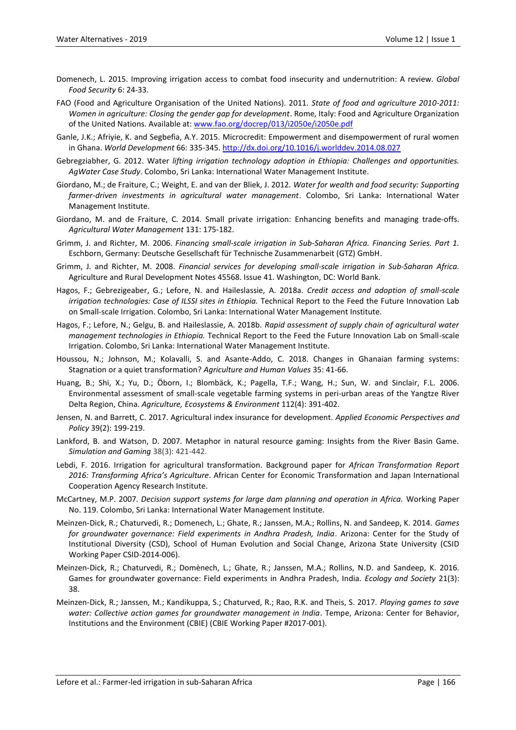- Domenech, L. 2015. Improving irrigation access to combat food insecurity and undernutrition: A review. *Global Food Security* 6: 24-33.
- FAO (Food and Agriculture Organisation of the United Nations). 2011. *State of food and agriculture 2010-2011: Women in agriculture: Closing the gender gap for development*. Rome, Italy: Food and Agriculture Organization of the United Nations. Available at: [www.fao.org/docrep/013/i2050e/i2050e.pdf](http://www.fao.org/docrep/013/i2050e/i2050e.pdf)
- Ganle, J.K.; Afriyie, K. and Segbefia, A.Y. 2015. Microcredit: Empowerment and disempowerment of rural women in Ghana. *World Development* 66: 335-345.<http://dx.doi.org/10.1016/j.worlddev.2014.08.027>
- Gebregziabher, G. 2012. Water *lifting irrigation technology adoption in Ethiopia: Challenges and opportunities. AgWater Case Study*. Colombo, Sri Lanka: International Water Management Institute.
- Giordano, M.; de Fraiture, C.; Weight, E. and van der Bliek, J. 2012*. Water for wealth and food security: Supporting farmer-driven investments in agricultural water management*. Colombo, Sri Lanka: International Water Management Institute.
- Giordano, M. and de Fraiture, C. 2014. Small private irrigation: Enhancing benefits and managing trade-offs. *Agricultural Water Management* 131: 175-182.
- Grimm, J. and Richter, M. 2006. *Financing small-scale irrigation in Sub-Saharan Africa. Financing Series. Part 1.* Eschborn, Germany: Deutsche Gesellschaft für Technische Zusammenarbeit (GTZ) GmbH.
- Grimm, J. and Richter, M. 2008. *Financial services for developing small-scale irrigation in Sub-Saharan Africa.* Agriculture and Rural Development Notes 45568. Issue 41. Washington, DC: World Bank.
- Hagos, F.; Gebrezigeaber, G.; Lefore, N. and Haileslassie, A. 2018a. *Credit access and adoption of small-scale irrigation technologies: Case of ILSSI sites in Ethiopia.* Technical Report to the Feed the Future Innovation Lab on Small-scale Irrigation. Colombo, Sri Lanka: International Water Management Institute.
- Hagos, F.; Lefore, N.; Gelgu, B. and Haileslassie, A. 2018b. *Rapid assessment of supply chain of agricultural water management technologies in Ethiopia.* Technical Report to the Feed the Future Innovation Lab on Small-scale Irrigation. Colombo, Sri Lanka: International Water Management Institute.
- Houssou, N.; Johnson, M.; Kolavalli, S. and Asante-Addo, C. 2018. Changes in Ghanaian farming systems: Stagnation or a quiet transformation? *Agriculture and Human Values* 35: 41-66.
- Huang, B.; Shi, X.; Yu, D.; Öborn, I.; Blombäck, K.; Pagella, T.F.; Wang, H.; Sun, W. and Sinclair, F.L. 2006. Environmental assessment of small-scale vegetable farming systems in peri-urban areas of the Yangtze River Delta Region, China. *Agriculture, Ecosystems & Environment* 112(4): 391-402.
- [Jensen,](javascript:;) N. and [Barrett,](javascript:;) C. 2017. Agricultural index insurance for development. *Applied Economic Perspectives and Policy* 39(2): 199-219.
- Lankford, B. and Watson, D. 2007. Metaphor in natural resource gaming: Insights from the River Basin Game. *Simulation and Gaming* 38(3): 421-442.
- Lebdi, F. 2016. Irrigation for agricultural transformation. Background paper for *African Transformation Report 2016: Transforming Africa's Agriculture*. African Center for Economic Transformation and Japan International Cooperation Agency Research Institute.
- McCartney, M.P. 2007. *Decision support systems for large dam planning and operation in Africa.* Working Paper No. 119. Colombo, Sri Lanka: International Water Management Institute.
- Meinzen-Dick, R.; Chaturvedi, R.; Domenech, L.; Ghate, R.; Janssen, M.A.; Rollins, N. and Sandeep, K. 2014. *Games for groundwater governance: Field experiments in Andhra Pradesh, India*. Arizona: Center for the Study of Institutional Diversity (CSD), School of Human Evolution and Social Change, Arizona State University (CSID Working Paper CSID-2014-006).
- Meinzen-Dick, R.; Chaturvedi, R.; Domènech, L.; Ghate, R.; Janssen, M.A.; Rollins, N.D. and Sandeep, K. 2016. Games for groundwater governance: Field experiments in Andhra Pradesh, India. *Ecology and Society* 21(3): 38.
- Meinzen-Dick, R.; Janssen, M.; Kandikuppa, S.; Chaturved, R.; Rao, R.K. and Theis, S. 2017. *Playing games to save water: Collective action games for groundwater management in India*. Tempe, Arizona: Center for Behavior, Institutions and the Environment (CBIE) (CBIE Working Paper #2017-001).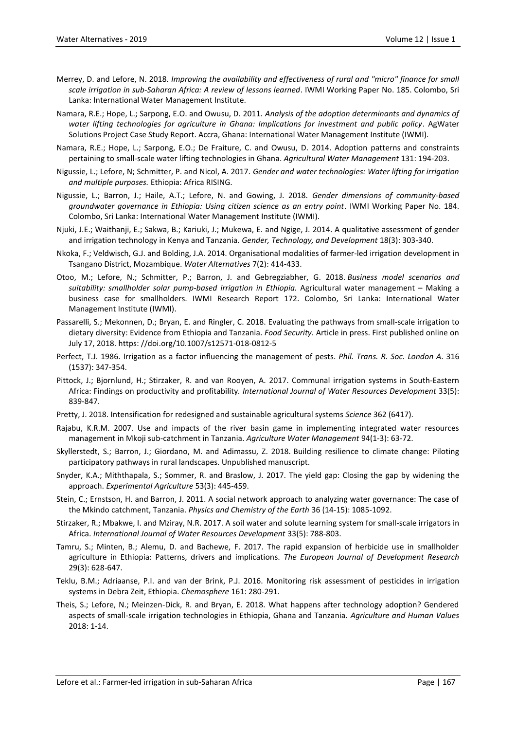- Merrey, D. and Lefore, N. 2018. *Improving the availability and effectiveness of rural and "micro" finance for small scale irrigation in sub-Saharan Africa: A review of lessons learned*. IWMI Working Paper No. 185. Colombo, Sri Lanka: International Water Management Institute.
- Namara, R.E.; Hope, L.; Sarpong, E.O. and Owusu, D. 2011. *Analysis of the adoption determinants and dynamics of water lifting technologies for agriculture in Ghana: Implications for investment and public policy*. AgWater Solutions Project Case Study Report. Accra, Ghana: International Water Management Institute (IWMI).
- Namara, R.E.; Hope, L.; Sarpong, E.O.; De Fraiture, C. and Owusu, D. 2014. Adoption patterns and constraints pertaining to small-scale water lifting technologies in Ghana. *Agricultural Water Management* 131: 194-203.
- Nigussie, L.; Lefore, N; Schmitter, P. and Nicol, A. 2017. *Gender and water technologies: Water lifting for irrigation and multiple purposes.* Ethiopia: Africa RISING.
- Nigussie, L.; Barron, J.; Haile, A.T.; Lefore, N. and Gowing, J. 2018. *Gender dimensions of community-based groundwater governance in Ethiopia: Using citizen science as an entry point*. IWMI Working Paper No. 184. Colombo, Sri Lanka: International Water Management Institute (IWMI).
- Njuki, J.E.; Waithanji, E.; Sakwa, B.; Kariuki, J.; Mukewa, E. and Ngige, J. 2014. A qualitative assessment of gender and irrigation technology in Kenya and Tanzania. *Gender, Technology, and Development* 18(3): 303-340.
- Nkoka, F.; Veldwisch, G.J. and Bolding, J.A. 2014. Organisational modalities of farmer-led irrigation development in Tsangano District, Mozambique. *Water Alternatives* 7(2): 414-433.
- Otoo, M.; Lefore, N.; Schmitter, P.; Barron, J. and Gebregziabher, G. 2018. *Business model scenarios and suitability: smallholder solar pump-based irrigation in Ethiopia.* Agricultural water management – Making a business case for smallholders. IWMI Research Report 172. Colombo, Sri Lanka: International Water Management Institute (IWMI).
- Passarelli, S.; Mekonnen, D.; Bryan, E. and Ringler, C. 2018. Evaluating the pathways from small-scale irrigation to dietary diversity: Evidence from Ethiopia and Tanzania. *Food Security*. Article in press. First published online on July 17, 2018. https: //doi.org/10.1007/s12571-018-0812-5
- Perfect, T.J. 1986. Irrigation as a factor influencing the management of pests. *Phil. Trans. R. Soc. London A*. 316 (1537): 347-354.
- Pittock, J.; Bjornlund, H.; Stirzaker, R. and van Rooyen, A. 2017. Communal irrigation systems in South-Eastern Africa: Findings on productivity and profitability*. International Journal of Water Resources Development* 33(5): 839-847.
- Pretty, J. 2018. Intensification for redesigned and sustainable agricultural systems *Science* 362 (6417).
- Rajabu, K.R.M. 2007. Use and impacts of the river basin game in implementing integrated water resources management in Mkoji sub-catchment in Tanzania. *Agriculture Water Management* 94(1-3): 63-72.
- Skyllerstedt, S.; Barron, J.; Giordano, M. and Adimassu, Z. 2018. Building resilience to climate change: Piloting participatory pathways in rural landscapes. Unpublished manuscript.
- Snyder, K.A.; Miththapala, S.; Sommer, R. and Braslow, J. 2017. The yield gap: Closing the gap by widening the approach. *Experimental Agriculture* 53(3): 445-459.
- Stein, C.; Ernstson, H. and Barron, J. 2011. A social network approach to analyzing water governance: The case of the Mkindo catchment, Tanzania. *Physics and Chemistry of the Earth* 36 (14-15): 1085-1092.
- Stirzaker, R.; Mbakwe, I. and Mziray, N.R. 2017. A soil water and solute learning system for small-scale irrigators in Africa. *International Journal of Water Resources Development* 33(5): 788-803.
- Tamru, S.; Minten, B.; Alemu, D. and Bachewe, F. 2017. The rapid expansion of herbicide use in smallholder agriculture in Ethiopia: Patterns, drivers and implications. *The European Journal of Development Research* 29(3): 628-647.
- Teklu, B.M.; Adriaanse, P.I. and van der Brink, P.J. 2016. Monitoring risk assessment of pesticides in irrigation systems in Debra Zeit, Ethiopia. *Chemosphere* 161: 280-291.
- Theis, S.; Lefore, N.; Meinzen-Dick, R. and Bryan, E. 2018. What happens after technology adoption? Gendered aspects of small-scale irrigation technologies in Ethiopia, Ghana and Tanzania. *Agriculture and Human Values*  2018: 1-14.